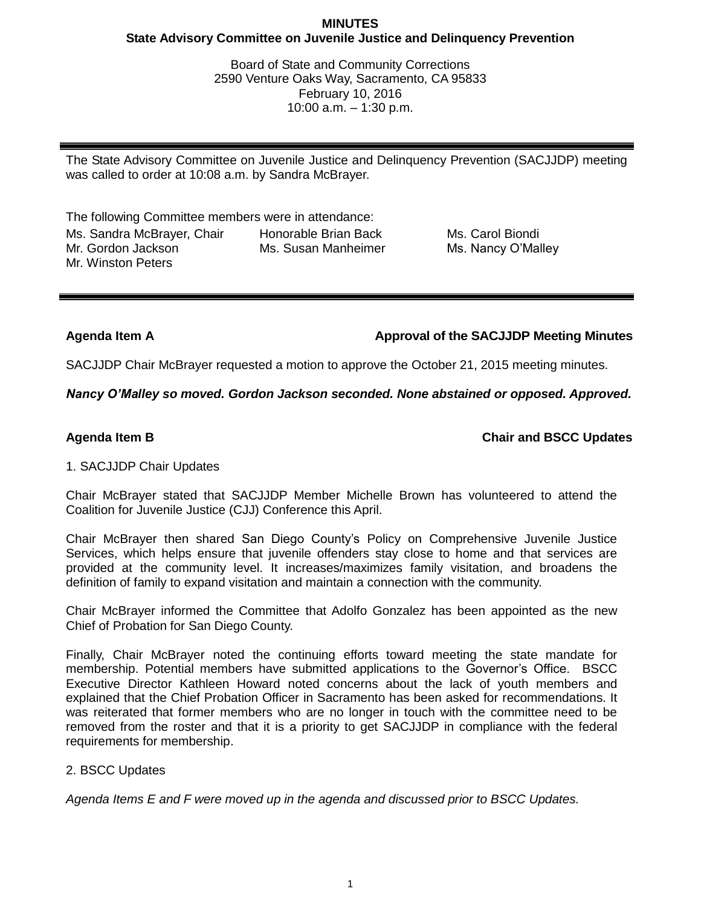## **MINUTES State Advisory Committee on Juvenile Justice and Delinquency Prevention**

Board of State and Community Corrections 2590 Venture Oaks Way, Sacramento, CA 95833 February 10, 2016 10:00 a.m. – 1:30 p.m.

The State Advisory Committee on Juvenile Justice and Delinquency Prevention (SACJJDP) meeting was called to order at 10:08 a.m. by Sandra McBrayer.

The following Committee members were in attendance: Ms. Sandra McBrayer, Chair Mr. Gordon Jackson Mr. Winston Peters Honorable Brian Back Ms. Susan Manheimer

Ms. Carol Biondi Ms. Nancy O'Malley

**Agenda Item A Approval of the SACJJDP Meeting Minutes**

SACJJDP Chair McBrayer requested a motion to approve the October 21, 2015 meeting minutes.

*Nancy O'Malley so moved. Gordon Jackson seconded. None abstained or opposed. Approved.*

**Agenda Item B Chair and BSCC Updates**

# 1. SACJJDP Chair Updates

Chair McBrayer stated that SACJJDP Member Michelle Brown has volunteered to attend the Coalition for Juvenile Justice (CJJ) Conference this April.

Chair McBrayer then shared San Diego County's Policy on Comprehensive Juvenile Justice Services, which helps ensure that juvenile offenders stay close to home and that services are provided at the community level. It increases/maximizes family visitation, and broadens the definition of family to expand visitation and maintain a connection with the community.

Chair McBrayer informed the Committee that Adolfo Gonzalez has been appointed as the new Chief of Probation for San Diego County.

Finally, Chair McBrayer noted the continuing efforts toward meeting the state mandate for membership. Potential members have submitted applications to the Governor's Office. BSCC Executive Director Kathleen Howard noted concerns about the lack of youth members and explained that the Chief Probation Officer in Sacramento has been asked for recommendations. It was reiterated that former members who are no longer in touch with the committee need to be removed from the roster and that it is a priority to get SACJJDP in compliance with the federal requirements for membership.

# 2. BSCC Updates

*Agenda Items E and F were moved up in the agenda and discussed prior to BSCC Updates.*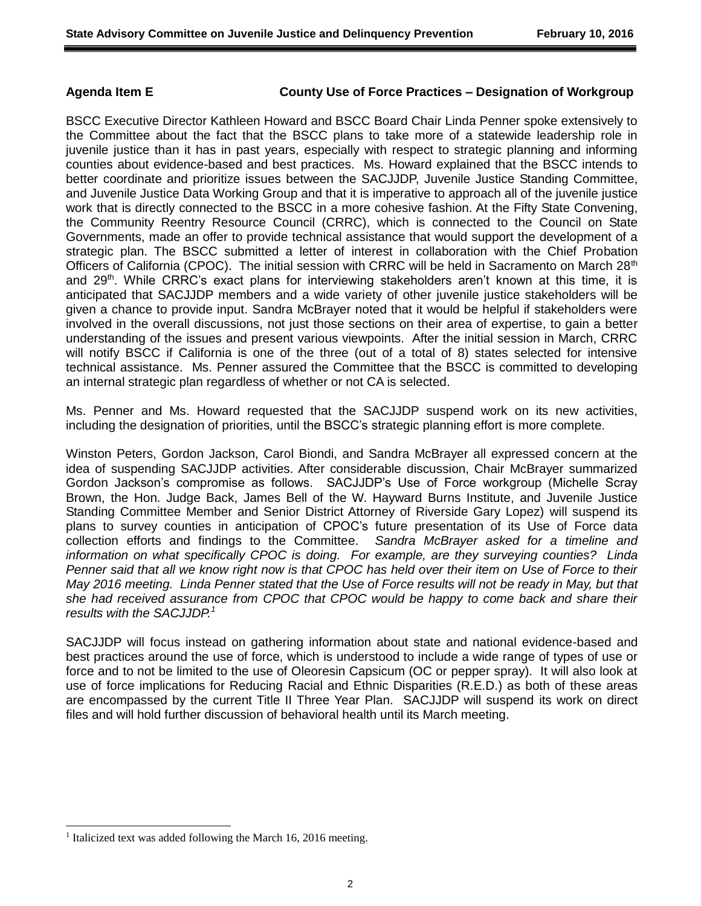### **Agenda Item E County Use of Force Practices – Designation of Workgroup**

BSCC Executive Director Kathleen Howard and BSCC Board Chair Linda Penner spoke extensively to the Committee about the fact that the BSCC plans to take more of a statewide leadership role in juvenile justice than it has in past years, especially with respect to strategic planning and informing counties about evidence-based and best practices. Ms. Howard explained that the BSCC intends to better coordinate and prioritize issues between the SACJJDP, Juvenile Justice Standing Committee, and Juvenile Justice Data Working Group and that it is imperative to approach all of the juvenile justice work that is directly connected to the BSCC in a more cohesive fashion. At the Fifty State Convening, the Community Reentry Resource Council (CRRC), which is connected to the Council on State Governments, made an offer to provide technical assistance that would support the development of a strategic plan. The BSCC submitted a letter of interest in collaboration with the Chief Probation Officers of California (CPOC). The initial session with CRRC will be held in Sacramento on March 28<sup>th</sup> and  $29<sup>th</sup>$ . While CRRC's exact plans for interviewing stakeholders aren't known at this time, it is anticipated that SACJJDP members and a wide variety of other juvenile justice stakeholders will be given a chance to provide input. Sandra McBrayer noted that it would be helpful if stakeholders were involved in the overall discussions, not just those sections on their area of expertise, to gain a better understanding of the issues and present various viewpoints. After the initial session in March, CRRC will notify BSCC if California is one of the three (out of a total of 8) states selected for intensive technical assistance. Ms. Penner assured the Committee that the BSCC is committed to developing an internal strategic plan regardless of whether or not CA is selected.

Ms. Penner and Ms. Howard requested that the SACJJDP suspend work on its new activities, including the designation of priorities, until the BSCC's strategic planning effort is more complete.

Winston Peters, Gordon Jackson, Carol Biondi, and Sandra McBrayer all expressed concern at the idea of suspending SACJJDP activities. After considerable discussion, Chair McBrayer summarized Gordon Jackson's compromise as follows. SACJJDP's Use of Force workgroup (Michelle Scray Brown, the Hon. Judge Back, James Bell of the W. Hayward Burns Institute, and Juvenile Justice Standing Committee Member and Senior District Attorney of Riverside Gary Lopez) will suspend its plans to survey counties in anticipation of CPOC's future presentation of its Use of Force data collection efforts and findings to the Committee. *Sandra McBrayer asked for a timeline and information on what specifically CPOC is doing. For example, are they surveying counties? Linda Penner said that all we know right now is that CPOC has held over their item on Use of Force to their May 2016 meeting. Linda Penner stated that the Use of Force results will not be ready in May, but that she had received assurance from CPOC that CPOC would be happy to come back and share their results with the SACJJDP.<sup>1</sup>*

SACJJDP will focus instead on gathering information about state and national evidence-based and best practices around the use of force, which is understood to include a wide range of types of use or force and to not be limited to the use of Oleoresin Capsicum (OC or pepper spray). It will also look at use of force implications for Reducing Racial and Ethnic Disparities (R.E.D.) as both of these areas are encompassed by the current Title II Three Year Plan. SACJJDP will suspend its work on direct files and will hold further discussion of behavioral health until its March meeting.

l

<sup>&</sup>lt;sup>1</sup> Italicized text was added following the March 16, 2016 meeting.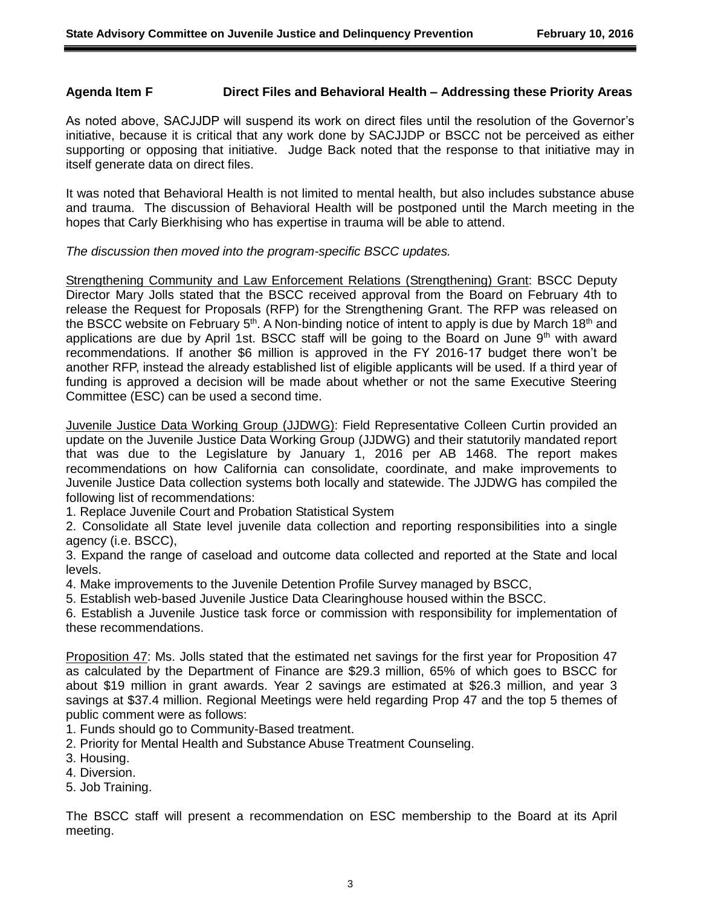### **Agenda Item F Direct Files and Behavioral Health – Addressing these Priority Areas**

As noted above, SACJJDP will suspend its work on direct files until the resolution of the Governor's initiative, because it is critical that any work done by SACJJDP or BSCC not be perceived as either supporting or opposing that initiative. Judge Back noted that the response to that initiative may in itself generate data on direct files.

It was noted that Behavioral Health is not limited to mental health, but also includes substance abuse and trauma. The discussion of Behavioral Health will be postponed until the March meeting in the hopes that Carly Bierkhising who has expertise in trauma will be able to attend.

*The discussion then moved into the program-specific BSCC updates.*

Strengthening Community and Law Enforcement Relations (Strengthening) Grant: BSCC Deputy Director Mary Jolls stated that the BSCC received approval from the Board on February 4th to release the Request for Proposals (RFP) for the Strengthening Grant. The RFP was released on the BSCC website on February  $5<sup>th</sup>$ . A Non-binding notice of intent to apply is due by March 18<sup>th</sup> and applications are due by April 1st. BSCC staff will be going to the Board on June  $9<sup>th</sup>$  with award recommendations. If another \$6 million is approved in the FY 2016-17 budget there won't be another RFP, instead the already established list of eligible applicants will be used. If a third year of funding is approved a decision will be made about whether or not the same Executive Steering Committee (ESC) can be used a second time.

Juvenile Justice Data Working Group (JJDWG): Field Representative Colleen Curtin provided an update on the Juvenile Justice Data Working Group (JJDWG) and their statutorily mandated report that was due to the Legislature by January 1, 2016 per AB 1468. The report makes recommendations on how California can consolidate, coordinate, and make improvements to Juvenile Justice Data collection systems both locally and statewide. The JJDWG has compiled the following list of recommendations:

1. Replace Juvenile Court and Probation Statistical System

2. Consolidate all State level juvenile data collection and reporting responsibilities into a single agency (i.e. BSCC),

3. Expand the range of caseload and outcome data collected and reported at the State and local levels.

4. Make improvements to the Juvenile Detention Profile Survey managed by BSCC,

5. Establish web-based Juvenile Justice Data Clearinghouse housed within the BSCC.

6. Establish a Juvenile Justice task force or commission with responsibility for implementation of these recommendations.

Proposition 47: Ms. Jolls stated that the estimated net savings for the first year for Proposition 47 as calculated by the Department of Finance are \$29.3 million, 65% of which goes to BSCC for about \$19 million in grant awards. Year 2 savings are estimated at \$26.3 million, and year 3 savings at \$37.4 million. Regional Meetings were held regarding Prop 47 and the top 5 themes of public comment were as follows:

1. Funds should go to Community-Based treatment.

2. Priority for Mental Health and Substance Abuse Treatment Counseling.

3. Housing.

4. Diversion.

5. Job Training.

The BSCC staff will present a recommendation on ESC membership to the Board at its April meeting.